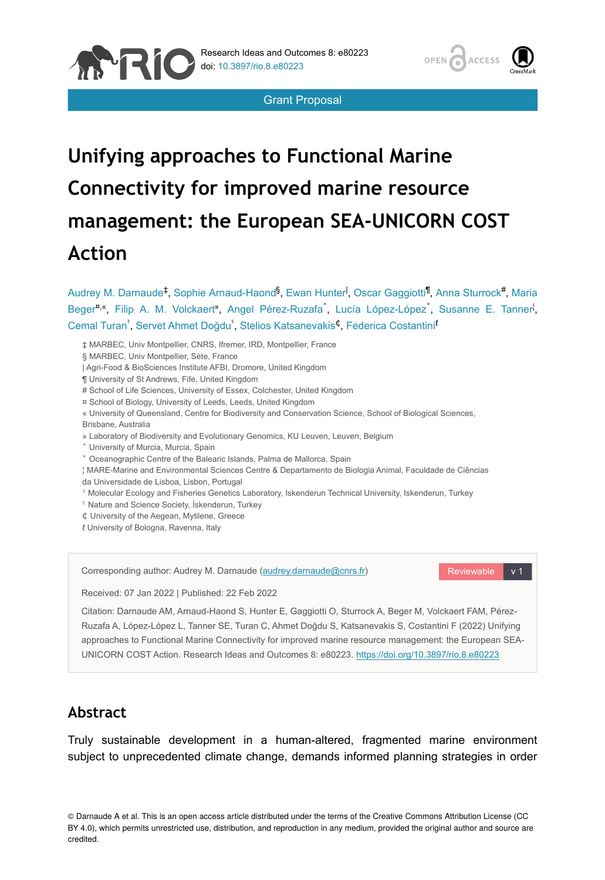

Grant Proposal

# **Unifying approaches to Functional Marine Connectivity for improved marine resource management: the European SEA-UNICORN COST Action**

Beger<sup>n,«</sup>, Filip A. M. Volckaert<sup>»</sup>, Angel Pérez-Ruzafa<sup>^</sup>, Lucía López-López<sup>\*</sup>, Susanne E. Tanner<sup>1</sup>, Cemal Turan<sup>2</sup>, Servet Ahmet Doğdu<sup>5</sup>, Stelios Katsanevakis<sup>¢</sup>, Federica Costantini<sup>r</sup> ‡ MARBEC, Univ Montpellier, CNRS, Ifremer, IRD, Montpellier, France § MARBEC, Univ Montpellier, Sète, France | Agri-Food & BioSciences Institute AFBI, Dromore, United Kingdom ¶ University of St Andrews, Fife, United Kingdom # School of Life Sciences, University of Essex, Colchester, United Kingdom ¤ School of Biology, University of Leeds, Leeds, United Kingdom « University of Queensland, Centre for Biodiversity and Conservation Science, School of Biological Sciences, Brisbane, Australia » Laboratory of Biodiversity and Evolutionary Genomics, KU Leuven, Leuven, Belgium ˄ University of Murcia, Murcia, Spain ˅ Oceanographic Centre of the Balearic Islands, Palma de Mallorca, Spain ¦ MARE-Marine and Environmental Sciences Centre & Departamento de Biologia Animal, Faculdade de Ciências da Universidade de Lisboa, Lisbon, Portugal ˀ Molecular Ecology and Fisheries Genetics Laboratory, Iskenderun Technical University, Iskenderun, Turkey ˁ Nature and Science Society, İskenderun, Turkey ₵ University of the Aegean, Mytilene, Greece

Audrey M. Darnaude<sup>‡</sup>, Sophie Arnaud-Haond<sup>§</sup>, Ewan Hunter<sup>I</sup>, Oscar Gaggiotti<sup>¶</sup>, Anna Sturrock<sup>#</sup>, Maria

ℓ University of Bologna, Ravenna, Italy

**ANRIC** 

Corresponding author: Audrey M. Darnaude ([audrey.darnaude@cnrs.fr\)](mailto:audrey.darnaude@cnrs.fr)

Reviewable v 1

Received: 07 Jan 2022 | Published: 22 Feb 2022

Citation: Darnaude AM, Arnaud-Haond S, Hunter E, Gaggiotti O, Sturrock A, Beger M, Volckaert FAM, Pérez-Ruzafa A, López-López L, Tanner SE, Turan C, Ahmet Doğdu S, Katsanevakis S, Costantini F (2022) Unifying approaches to Functional Marine Connectivity for improved marine resource management: the European SEA-UNICORN COST Action. Research Ideas and Outcomes 8: e80223.<https://doi.org/10.3897/rio.8.e80223>

# **Abstract**

Truly sustainable development in a human-altered, fragmented marine environment subject to unprecedented climate change, demands informed planning strategies in order

© Darnaude A et al. This is an open access article distributed under the terms of the Creative Commons Attribution License (CC BY 4.0), which permits unrestricted use, distribution, and reproduction in any medium, provided the original author and source are credited.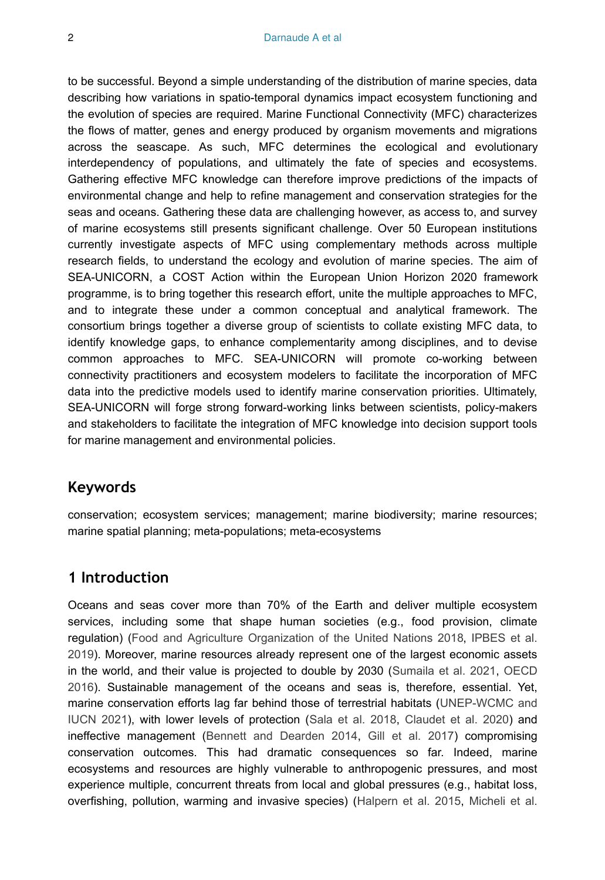to be successful. Beyond a simple understanding of the distribution of marine species, data describing how variations in spatio-temporal dynamics impact ecosystem functioning and the evolution of species are required. Marine Functional Connectivity (MFC) characterizes the flows of matter, genes and energy produced by organism movements and migrations across the seascape. As such, MFC determines the ecological and evolutionary interdependency of populations, and ultimately the fate of species and ecosystems. Gathering effective MFC knowledge can therefore improve predictions of the impacts of environmental change and help to refine management and conservation strategies for the seas and oceans. Gathering these data are challenging however, as access to, and survey of marine ecosystems still presents significant challenge. Over 50 European institutions currently investigate aspects of MFC using complementary methods across multiple research fields, to understand the ecology and evolution of marine species. The aim of SEA-UNICORN, a COST Action within the European Union Horizon 2020 framework programme, is to bring together this research effort, unite the multiple approaches to MFC, and to integrate these under a common conceptual and analytical framework. The consortium brings together a diverse group of scientists to collate existing MFC data, to identify knowledge gaps, to enhance complementarity among disciplines, and to devise common approaches to MFC. SEA-UNICORN will promote co-working between connectivity practitioners and ecosystem modelers to facilitate the incorporation of MFC data into the predictive models used to identify marine conservation priorities. Ultimately, SEA-UNICORN will forge strong forward-working links between scientists, policy-makers and stakeholders to facilitate the integration of MFC knowledge into decision support tools for marine management and environmental policies.

#### **Keywords**

conservation; ecosystem services; management; marine biodiversity; marine resources; marine spatial planning; meta-populations; meta-ecosystems

#### **1 Introduction**

Oceans and seas cover more than 70% of the Earth and deliver multiple ecosystem services, including some that shape human societies (e.g., food provision, climate regulation) ([Food and Agriculture Organization of the United Nations 2018,](#page-16-0) [IPBES et al.](#page-17-0) [2019](#page-17-0)). Moreover, marine resources already represent one of the largest economic assets in the world, and their value is projected to double by 2030 ([Sumaila et al. 2021](#page-19-0), [OECD](#page-18-0) [2016](#page-18-0)). Sustainable management of the oceans and seas is, therefore, essential. Yet, marine conservation efforts lag far behind those of terrestrial habitats ([UNEP-WCMC and](#page-19-1) [IUCN 2021\)](#page-19-1), with lower levels of protection ([Sala et al. 2018](#page-19-2), [Claudet et al. 2020](#page-15-0)) and ineffective management [\(Bennett and Dearden 2014](#page-15-1), [Gill et al. 2017\)](#page-16-1) compromising conservation outcomes. This had dramatic consequences so far. Indeed, marine ecosystems and resources are highly vulnerable to anthropogenic pressures, and most experience multiple, concurrent threats from local and global pressures (e.g., habitat loss, overfishing, pollution, warming and invasive species) ([Halpern et al. 2015](#page-17-1), [Micheli et al.](#page-18-1)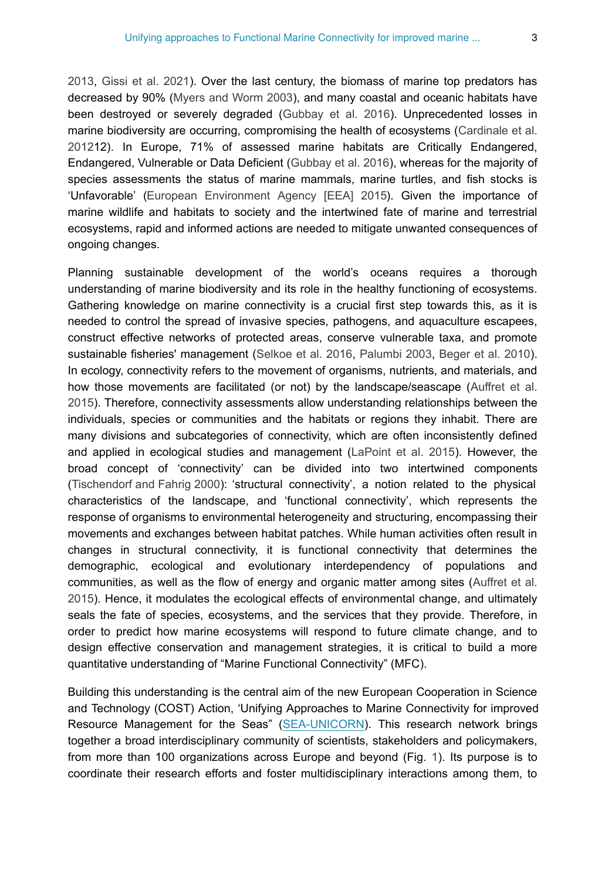[2013](#page-18-1), [Gissi et al. 2021](#page-16-2)). Over the last century, the biomass of marine top predators has decreased by 90% ([Myers and Worm 2003](#page-18-2)), and many coastal and oceanic habitats have been destroyed or severely degraded [\(Gubbay et al. 2016](#page-16-3)). Unprecedented losses in marine biodiversity are occurring, compromising the health of ecosystems ([Cardinale et al.](#page-15-2) [2012](#page-15-2)12). In Europe, 71% of assessed marine habitats are Critically Endangered, Endangered, Vulnerable or Data Deficient ([Gubbay et al. 2016\)](#page-16-3), whereas for the majority of species assessments the status of marine mammals, marine turtles, and fish stocks is 'Unfavorable' [\(European Environment Agency \[EEA\] 2015\)](#page-16-4). Given the importance of marine wildlife and habitats to society and the intertwined fate of marine and terrestrial ecosystems, rapid and informed actions are needed to mitigate unwanted consequences of ongoing changes.

Planning sustainable development of the world's oceans requires a thorough understanding of marine biodiversity and its role in the healthy functioning of ecosystems. Gathering knowledge on marine connectivity is a crucial first step towards this, as it is needed to control the spread of invasive species, pathogens, and aquaculture escapees, construct effective networks of protected areas, conserve vulnerable taxa, and promote sustainable fisheries' management [\(Selkoe et al. 2016](#page-19-3), [Palumbi 2003,](#page-18-3) [Beger et al. 2010\)](#page-15-3). In ecology, connectivity refers to the movement of organisms, nutrients, and materials, and how those movements are facilitated (or not) by the landscape/seascape ([Auffret et al.](#page-14-0) [2015](#page-14-0)). Therefore, connectivity assessments allow understanding relationships between the individuals, species or communities and the habitats or regions they inhabit. There are many divisions and subcategories of connectivity, which are often inconsistently defined and applied in ecological studies and management ([LaPoint et al. 2015](#page-17-2)). However, the broad concept of 'connectivity' can be divided into two intertwined components [\(Tischendorf and Fahrig 2000](#page-19-4)): 'structural connectivity', a notion related to the physical characteristics of the landscape, and 'functional connectivity', which represents the response of organisms to environmental heterogeneity and structuring, encompassing their movements and exchanges between habitat patches. While human activities often result in changes in structural connectivity, it is functional connectivity that determines the demographic, ecological and evolutionary interdependency of populations and communities, as well as the flow of energy and organic matter among sites [\(Auffret et al.](#page-14-0) [2015](#page-14-0)). Hence, it modulates the ecological effects of environmental change, and ultimately seals the fate of species, ecosystems, and the services that they provide. Therefore, in order to predict how marine ecosystems will respond to future climate change, and to design effective conservation and management strategies, it is critical to build a more quantitative understanding of "Marine Functional Connectivity" (MFC).

Building this understanding is the central aim of the new European Cooperation in Science and Technology (COST) Action, 'Unifying Approaches to Marine Connectivity for improved Resource Management for the Seas" ([SEA-UNICORN\)](https://www.sea-unicorn.com/). This research network brings together a broad interdisciplinary community of scientists, stakeholders and policymakers, from more than 100 organizations across Europe and beyond (Fig. [1](#page-3-0)). Its purpose is to coordinate their research efforts and foster multidisciplinary interactions among them, to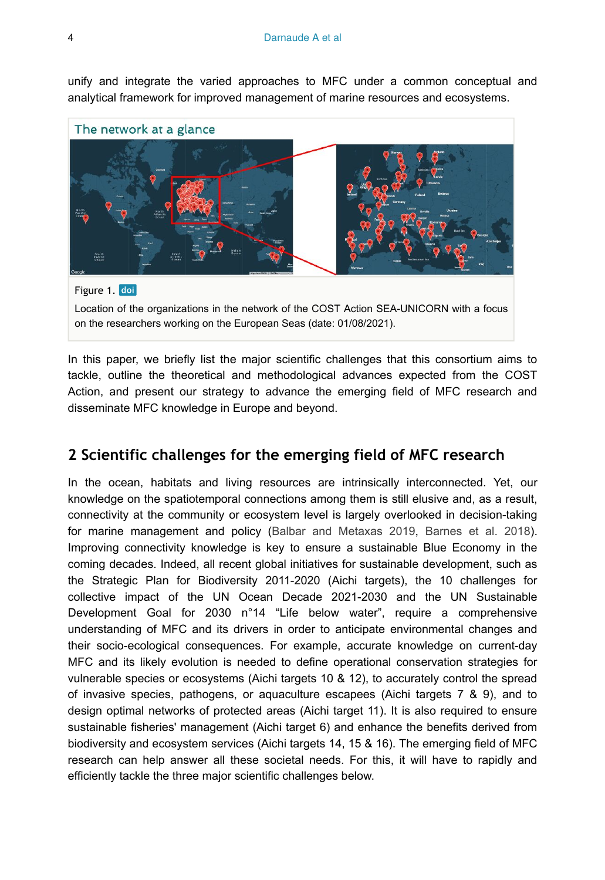unify and integrate the varied approaches to MFC under a common conceptual and analytical framework for improved management of marine resources and ecosystems.

<span id="page-3-0"></span>

In this paper, we briefly list the major scientific challenges that this consortium aims to tackle, outline the theoretical and methodological advances expected from the COST Action, and present our strategy to advance the emerging field of MFC research and disseminate MFC knowledge in Europe and beyond.

# **2 Scientific challenges for the emerging field of MFC research**

In the ocean, habitats and living resources are intrinsically interconnected. Yet, our knowledge on the spatiotemporal connections among them is still elusive and, as a result, connectivity at the community or ecosystem level is largely overlooked in decision-taking for marine management and policy [\(Balbar and Metaxas 2019,](#page-14-1) [Barnes et al. 2018\)](#page-14-2). Improving connectivity knowledge is key to ensure a sustainable Blue Economy in the coming decades. Indeed, all recent global initiatives for sustainable development, such as the Strategic Plan for Biodiversity 2011-2020 (Aichi targets), the 10 challenges for collective impact of the UN Ocean Decade 2021-2030 and the UN Sustainable Development Goal for 2030 n°14 "Life below water", require a comprehensive understanding of MFC and its drivers in order to anticipate environmental changes and their socio-ecological consequences. For example, accurate knowledge on current-day MFC and its likely evolution is needed to define operational conservation strategies for vulnerable species or ecosystems (Aichi targets 10 & 12), to accurately control the spread of invasive species, pathogens, or aquaculture escapees (Aichi targets 7 & 9), and to design optimal networks of protected areas (Aichi target 11). It is also required to ensure sustainable fisheries' management (Aichi target 6) and enhance the benefits derived from biodiversity and ecosystem services (Aichi targets 14, 15 & 16). The emerging field of MFC research can help answer all these societal needs. For this, it will have to rapidly and efficiently tackle the three major scientific challenges below.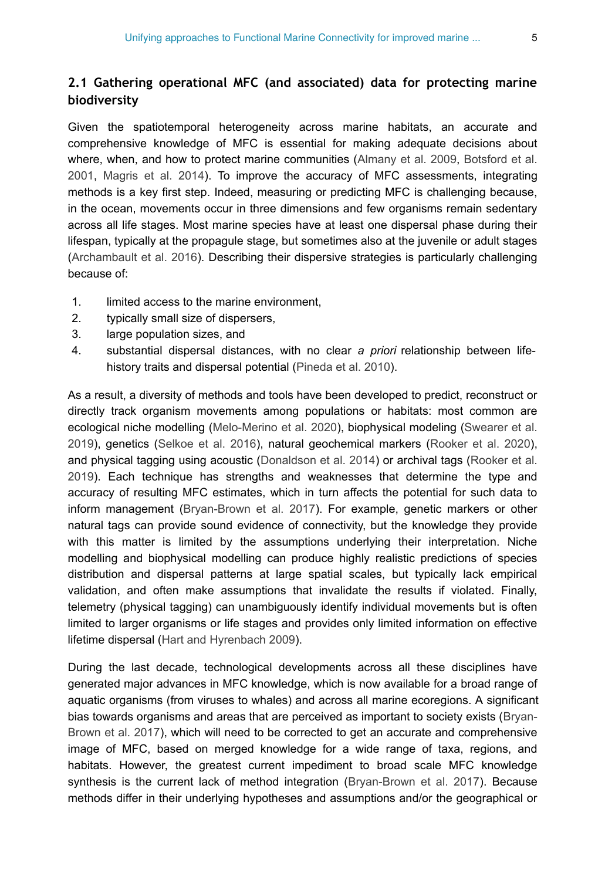## **2.1 Gathering operational MFC (and associated) data for protecting marine biodiversity**

Given the spatiotemporal heterogeneity across marine habitats, an accurate and comprehensive knowledge of MFC is essential for making adequate decisions about where, when, and how to protect marine communities [\(Almany et al. 2009,](#page-14-3) [Botsford et al.](#page-15-4) [2001](#page-15-4), [Magris et al. 2014\)](#page-18-4). To improve the accuracy of MFC assessments, integrating methods is a key first step. Indeed, measuring or predicting MFC is challenging because, in the ocean, movements occur in three dimensions and few organisms remain sedentary across all life stages. Most marine species have at least one dispersal phase during their lifespan, typically at the propagule stage, but sometimes also at the juvenile or adult stages [\(Archambault et al. 2016](#page-14-4)). Describing their dispersive strategies is particularly challenging because of:

- 1. limited access to the marine environment,
- 2. typically small size of dispersers,
- 3. large population sizes, and
- 4. substantial dispersal distances, with no clear *a priori* relationship between lifehistory traits and dispersal potential ([Pineda et al. 2010\)](#page-19-5).

As a result, a diversity of methods and tools have been developed to predict, reconstruct or directly track organism movements among populations or habitats: most common are ecological niche modelling [\(Melo-Merino et al. 2020](#page-18-5)), biophysical modeling ([Swearer et al.](#page-19-6) [2019](#page-19-6)), genetics [\(Selkoe et al. 2016](#page-19-3)), natural geochemical markers [\(Rooker et al. 2020\)](#page-19-7), and physical tagging using acoustic [\(Donaldson et al. 2014](#page-16-5)) or archival tags ([Rooker et al.](#page-19-8) [2019](#page-19-8)). Each technique has strengths and weaknesses that determine the type and accuracy of resulting MFC estimates, which in turn affects the potential for such data to inform management ([Bryan-Brown et al. 2017\)](#page-15-5). For example, genetic markers or other natural tags can provide sound evidence of connectivity, but the knowledge they provide with this matter is limited by the assumptions underlying their interpretation. Niche modelling and biophysical modelling can produce highly realistic predictions of species distribution and dispersal patterns at large spatial scales, but typically lack empirical validation, and often make assumptions that invalidate the results if violated. Finally, telemetry (physical tagging) can unambiguously identify individual movements but is often limited to larger organisms or life stages and provides only limited information on effective lifetime dispersal ([Hart and Hyrenbach 2009](#page-17-3)).

During the last decade, technological developments across all these disciplines have generated major advances in MFC knowledge, which is now available for a broad range of aquatic organisms (from viruses to whales) and across all marine ecoregions. A significant bias towards organisms and areas that are perceived as important to society exists ([Bryan-](#page-15-5)[Brown et al. 2017\)](#page-15-5), which will need to be corrected to get an accurate and comprehensive image of MFC, based on merged knowledge for a wide range of taxa, regions, and habitats. However, the greatest current impediment to broad scale MFC knowledge synthesis is the current lack of method integration ([Bryan-Brown et al. 2017\)](#page-15-5). Because methods differ in their underlying hypotheses and assumptions and/or the geographical or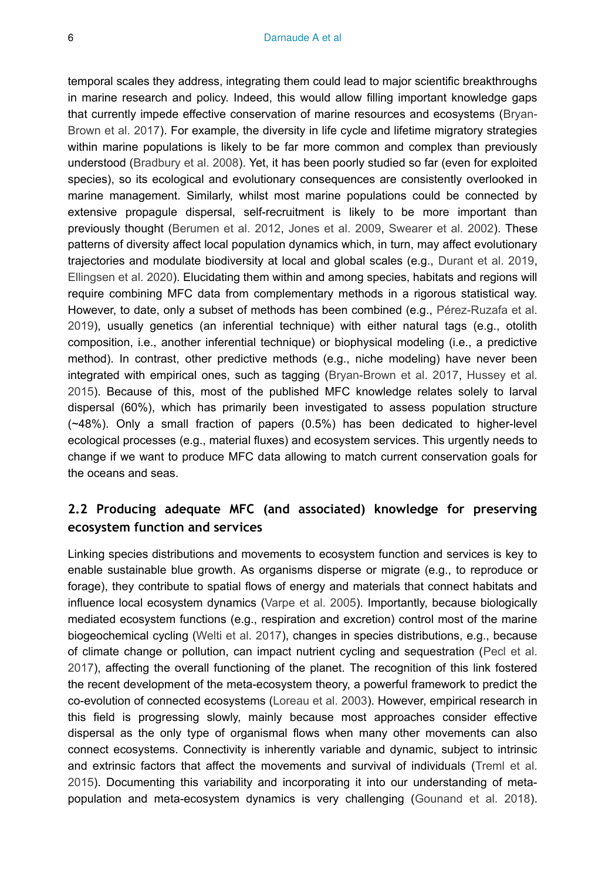temporal scales they address, integrating them could lead to major scientific breakthroughs in marine research and policy. Indeed, this would allow filling important knowledge gaps that currently impede effective conservation of marine resources and ecosystems ([Bryan-](#page-15-5)[Brown et al. 2017\)](#page-15-5). For example, the diversity in life cycle and lifetime migratory strategies within marine populations is likely to be far more common and complex than previously understood [\(Bradbury et al. 2008](#page-15-6)). Yet, it has been poorly studied so far (even for exploited species), so its ecological and evolutionary consequences are consistently overlooked in marine management. Similarly, whilst most marine populations could be connected by extensive propagule dispersal, self-recruitment is likely to be more important than previously thought ([Berumen et al. 2012,](#page-15-7) [Jones et al. 2009](#page-17-4), [Swearer et al. 2002](#page-19-9)). These patterns of diversity affect local population dynamics which, in turn, may affect evolutionary trajectories and modulate biodiversity at local and global scales (e.g., [Durant et al. 2019,](#page-16-6) [Ellingsen et al. 2020\)](#page-16-7). Elucidating them within and among species, habitats and regions will require combining MFC data from complementary methods in a rigorous statistical way. However, to date, only a subset of methods has been combined (e.g., [Pérez-Ruzafa et al.](#page-18-6) [2019](#page-18-6)), usually genetics (an inferential technique) with either natural tags (e.g., otolith composition, i.e., another inferential technique) or biophysical modeling (i.e., a predictive method). In contrast, other predictive methods (e.g., niche modeling) have never been integrated with empirical ones, such as tagging ([Bryan-Brown et al. 2017](#page-15-5), [Hussey et al.](#page-17-5) [2015](#page-17-5)). Because of this, most of the published MFC knowledge relates solely to larval dispersal (60%), which has primarily been investigated to assess population structure (~48%). Only a small fraction of papers (0.5%) has been dedicated to higher-level ecological processes (e.g., material fluxes) and ecosystem services. This urgently needs to change if we want to produce MFC data allowing to match current conservation goals for the oceans and seas.

#### **2.2 Producing adequate MFC (and associated) knowledge for preserving ecosystem function and services**

Linking species distributions and movements to ecosystem function and services is key to enable sustainable blue growth. As organisms disperse or migrate (e.g., to reproduce or forage), they contribute to spatial flows of energy and materials that connect habitats and influence local ecosystem dynamics ([Varpe et al. 2005](#page-20-0)). Importantly, because biologically mediated ecosystem functions (e.g., respiration and excretion) control most of the marine biogeochemical cycling ([Welti et al. 2017\)](#page-20-1), changes in species distributions, e.g., because of climate change or pollution, can impact nutrient cycling and sequestration [\(Pecl et al.](#page-18-7) [2017](#page-18-7)), affecting the overall functioning of the planet. The recognition of this link fostered the recent development of the meta-ecosystem theory, a powerful framework to predict the co-evolution of connected ecosystems ([Loreau et al. 2003\)](#page-17-6). However, empirical research in this field is progressing slowly, mainly because most approaches consider effective dispersal as the only type of organismal flows when many other movements can also connect ecosystems. Connectivity is inherently variable and dynamic, subject to intrinsic and extrinsic factors that affect the movements and survival of individuals [\(Treml et al.](#page-19-10) [2015](#page-19-10)). Documenting this variability and incorporating it into our understanding of metapopulation and meta-ecosystem dynamics is very challenging ([Gounand et al. 2018\)](#page-16-8).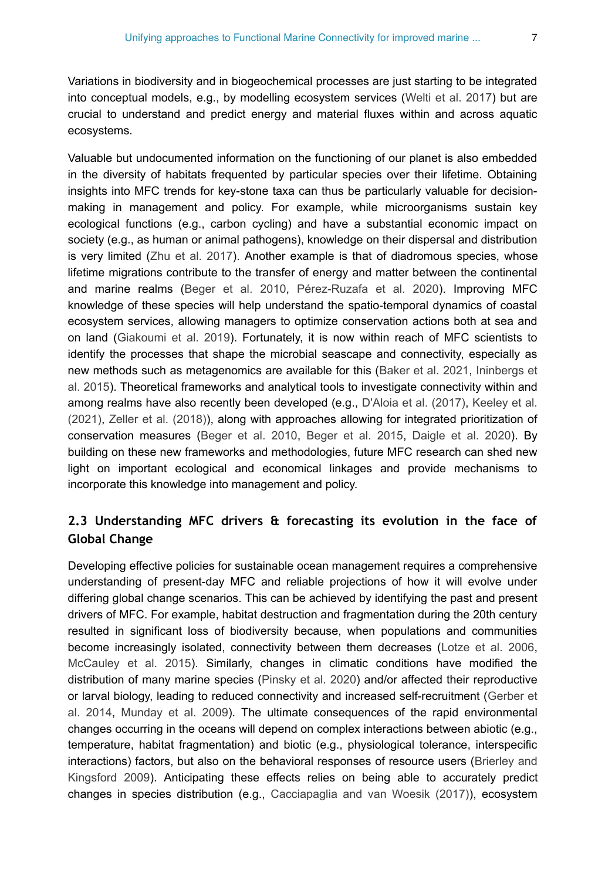Variations in biodiversity and in biogeochemical processes are just starting to be integrated into conceptual models, e.g., by modelling ecosystem services [\(Welti et al. 2017](#page-20-1)) but are crucial to understand and predict energy and material fluxes within and across aquatic ecosystems.

Valuable but undocumented information on the functioning of our planet is also embedded in the diversity of habitats frequented by particular species over their lifetime. Obtaining insights into MFC trends for key-stone taxa can thus be particularly valuable for decisionmaking in management and policy. For example, while microorganisms sustain key ecological functions (e.g., carbon cycling) and have a substantial economic impact on society (e.g., as human or animal pathogens), knowledge on their dispersal and distribution is very limited [\(Zhu et al. 2017\)](#page-20-2). Another example is that of diadromous species, whose lifetime migrations contribute to the transfer of energy and matter between the continental and marine realms ([Beger et al. 2010](#page-15-3), [Pérez-Ruzafa et al. 2020](#page-18-8)). Improving MFC knowledge of these species will help understand the spatio-temporal dynamics of coastal ecosystem services, allowing managers to optimize conservation actions both at sea and on land ([Giakoumi et al. 2019\)](#page-16-9). Fortunately, it is now within reach of MFC scientists to identify the processes that shape the microbial seascape and connectivity, especially as new methods such as metagenomics are available for this ([Baker et al. 2021](#page-14-5), [Ininbergs et](#page-17-7) [al. 2015\)](#page-17-7). Theoretical frameworks and analytical tools to investigate connectivity within and among realms have also recently been developed (e.g., [D'Aloia et al. \(2017\),](#page-16-10) [Keeley et al.](#page-17-8) [\(2021\)](#page-17-8), [Zeller et al. \(2018\)\)](#page-20-3), along with approaches allowing for integrated prioritization of conservation measures [\(Beger et al. 2010,](#page-15-3) [Beger et al. 2015](#page-15-8), [Daigle et al. 2020\)](#page-15-9). By building on these new frameworks and methodologies, future MFC research can shed new light on important ecological and economical linkages and provide mechanisms to incorporate this knowledge into management and policy.

#### **2.3 Understanding MFC drivers & forecasting its evolution in the face of Global Change**

Developing effective policies for sustainable ocean management requires a comprehensive understanding of present-day MFC and reliable projections of how it will evolve under differing global change scenarios. This can be achieved by identifying the past and present drivers of MFC. For example, habitat destruction and fragmentation during the 20th century resulted in significant loss of biodiversity because, when populations and communities become increasingly isolated, connectivity between them decreases ([Lotze et al. 2006,](#page-17-9) [McCauley et al. 2015\)](#page-18-9). Similarly, changes in climatic conditions have modified the distribution of many marine species [\(Pinsky et al. 2020](#page-19-11)) and/or affected their reproductive or larval biology, leading to reduced connectivity and increased self-recruitment ([Gerber et](#page-16-11) [al. 2014,](#page-16-11) [Munday et al. 2009](#page-18-10)). The ultimate consequences of the rapid environmental changes occurring in the oceans will depend on complex interactions between abiotic (e.g., temperature, habitat fragmentation) and biotic (e.g., physiological tolerance, interspecific interactions) factors, but also on the behavioral responses of resource users ([Brierley and](#page-15-10) [Kingsford 2009\)](#page-15-10). Anticipating these effects relies on being able to accurately predict changes in species distribution (e.g., [Cacciapaglia and van Woesik \(2017\)\)](#page-15-11), ecosystem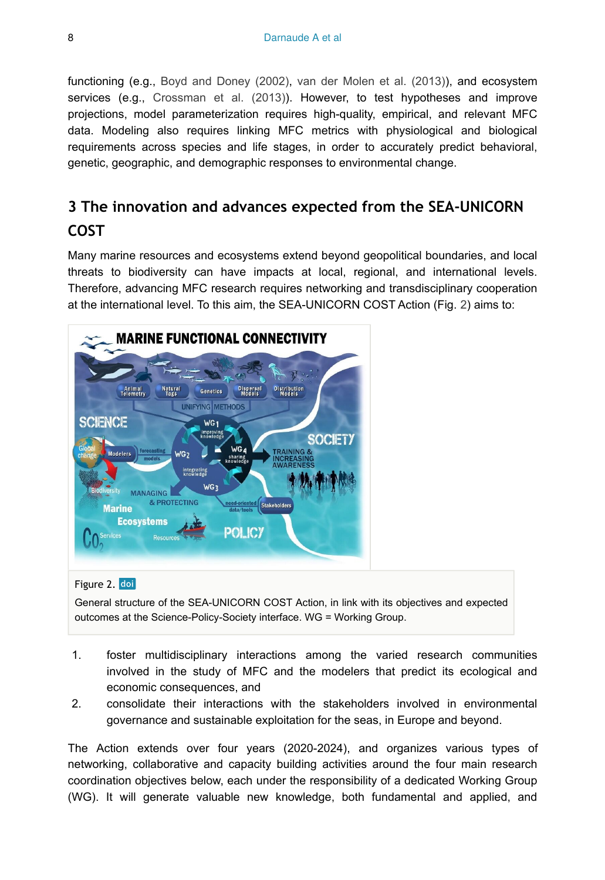functioning (e.g., [Boyd and Doney \(2002\)](#page-15-12), [van der Molen et al. \(2013\)](#page-19-12)), and ecosystem services (e.g., [Crossman et al. \(2013\)\)](#page-15-13). However, to test hypotheses and improve projections, model parameterization requires high-quality, empirical, and relevant MFC data. Modeling also requires linking MFC metrics with physiological and biological requirements across species and life stages, in order to accurately predict behavioral, genetic, geographic, and demographic responses to environmental change.

# **3 The innovation and advances expected from the SEA-UNICORN COST**

Many marine resources and ecosystems extend beyond geopolitical boundaries, and local threats to biodiversity can have impacts at local, regional, and international levels. Therefore, advancing MFC research requires networking and transdisciplinary cooperation at the international level. To this aim, the SEA-UNICORN COST Action (Fig. [2\)](#page-7-0) aims to:

<span id="page-7-0"></span>

#### Figure 2. doi

General structure of the SEA-UNICORN COST Action, in link with its objectives and expected outcomes at the Science-Policy-Society interface. WG = Working Group.

- 1. foster multidisciplinary interactions among the varied research communities involved in the study of MFC and the modelers that predict its ecological and economic consequences, and
- 2. consolidate their interactions with the stakeholders involved in environmental governance and sustainable exploitation for the seas, in Europe and beyond.

The Action extends over four years (2020-2024), and organizes various types of networking, collaborative and capacity building activities around the four main research coordination objectives below, each under the responsibility of a dedicated Working Group (WG). It will generate valuable new knowledge, both fundamental and applied, and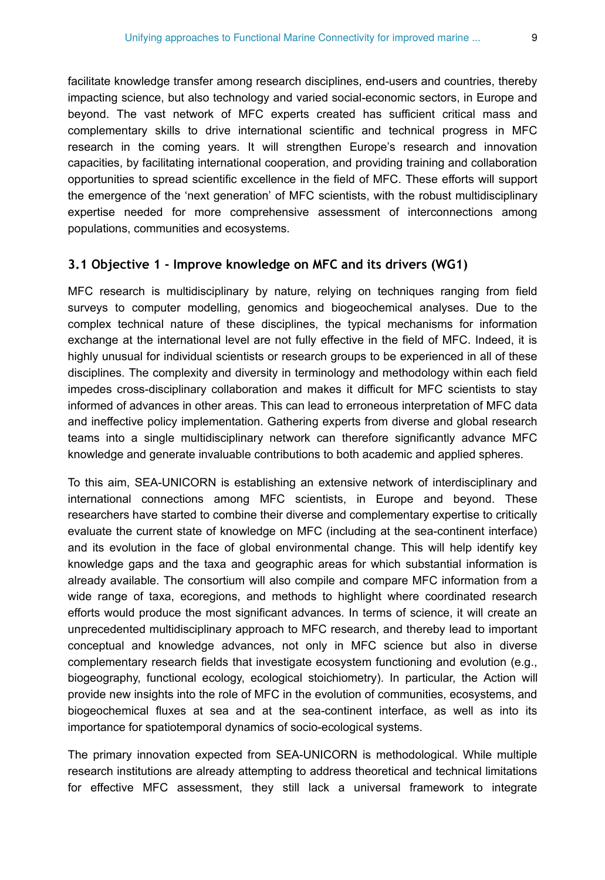facilitate knowledge transfer among research disciplines, end-users and countries, thereby impacting science, but also technology and varied social-economic sectors, in Europe and beyond. The vast network of MFC experts created has sufficient critical mass and complementary skills to drive international scientific and technical progress in MFC research in the coming years. It will strengthen Europe's research and innovation capacities, by facilitating international cooperation, and providing training and collaboration opportunities to spread scientific excellence in the field of MFC. These efforts will support the emergence of the 'next generation' of MFC scientists, with the robust multidisciplinary expertise needed for more comprehensive assessment of interconnections among populations, communities and ecosystems.

#### **3.1 Objective 1 - Improve knowledge on MFC and its drivers (WG1)**

MFC research is multidisciplinary by nature, relying on techniques ranging from field surveys to computer modelling, genomics and biogeochemical analyses. Due to the complex technical nature of these disciplines, the typical mechanisms for information exchange at the international level are not fully effective in the field of MFC. Indeed, it is highly unusual for individual scientists or research groups to be experienced in all of these disciplines. The complexity and diversity in terminology and methodology within each field impedes cross-disciplinary collaboration and makes it difficult for MFC scientists to stay informed of advances in other areas. This can lead to erroneous interpretation of MFC data and ineffective policy implementation. Gathering experts from diverse and global research teams into a single multidisciplinary network can therefore significantly advance MFC knowledge and generate invaluable contributions to both academic and applied spheres.

To this aim, SEA-UNICORN is establishing an extensive network of interdisciplinary and international connections among MFC scientists, in Europe and beyond. These researchers have started to combine their diverse and complementary expertise to critically evaluate the current state of knowledge on MFC (including at the sea-continent interface) and its evolution in the face of global environmental change. This will help identify key knowledge gaps and the taxa and geographic areas for which substantial information is already available. The consortium will also compile and compare MFC information from a wide range of taxa, ecoregions, and methods to highlight where coordinated research efforts would produce the most significant advances. In terms of science, it will create an unprecedented multidisciplinary approach to MFC research, and thereby lead to important conceptual and knowledge advances, not only in MFC science but also in diverse complementary research fields that investigate ecosystem functioning and evolution (e.g., biogeography, functional ecology, ecological stoichiometry). In particular, the Action will provide new insights into the role of MFC in the evolution of communities, ecosystems, and biogeochemical fluxes at sea and at the sea-continent interface, as well as into its importance for spatiotemporal dynamics of socio-ecological systems.

The primary innovation expected from SEA-UNICORN is methodological. While multiple research institutions are already attempting to address theoretical and technical limitations for effective MFC assessment, they still lack a universal framework to integrate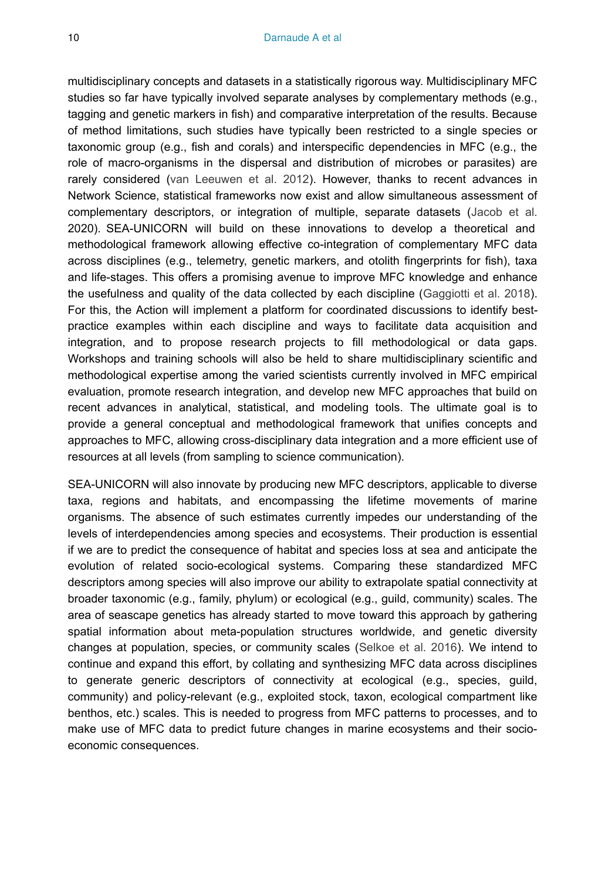multidisciplinary concepts and datasets in a statistically rigorous way. Multidisciplinary MFC studies so far have typically involved separate analyses by complementary methods (e.g., tagging and genetic markers in fish) and comparative interpretation of the results. Because of method limitations, such studies have typically been restricted to a single species or taxonomic group (e.g., fish and corals) and interspecific dependencies in MFC (e.g., the role of macro-organisms in the dispersal and distribution of microbes or parasites) are rarely considered ([van Leeuwen et al. 2012\)](#page-20-4). However, thanks to recent advances in Network Science, statistical frameworks now exist and allow simultaneous assessment of complementary descriptors, or integration of multiple, separate datasets ([Jacob et al.](#page-17-10) 2020). SEA-UNICORN will build on these innovations to develop a theoretical and methodological framework allowing effective co-integration of complementary MFC data across disciplines (e.g., telemetry, genetic markers, and otolith fingerprints for fish), taxa and life-stages. This offers a promising avenue to improve MFC knowledge and enhance the usefulness and quality of the data collected by each discipline ([Gaggiotti et al. 2018\)](#page-16-12). For this, the Action will implement a platform for coordinated discussions to identify bestpractice examples within each discipline and ways to facilitate data acquisition and integration, and to propose research projects to fill methodological or data gaps. Workshops and training schools will also be held to share multidisciplinary scientific and methodological expertise among the varied scientists currently involved in MFC empirical evaluation, promote research integration, and develop new MFC approaches that build on recent advances in analytical, statistical, and modeling tools. The ultimate goal is to provide a general conceptual and methodological framework that unifies concepts and approaches to MFC, allowing cross-disciplinary data integration and a more efficient use of resources at all levels (from sampling to science communication).

SEA-UNICORN will also innovate by producing new MFC descriptors, applicable to diverse taxa, regions and habitats, and encompassing the lifetime movements of marine organisms. The absence of such estimates currently impedes our understanding of the levels of interdependencies among species and ecosystems. Their production is essential if we are to predict the consequence of habitat and species loss at sea and anticipate the evolution of related socio-ecological systems. Comparing these standardized MFC descriptors among species will also improve our ability to extrapolate spatial connectivity at broader taxonomic (e.g., family, phylum) or ecological (e.g., guild, community) scales. The area of seascape genetics has already started to move toward this approach by gathering spatial information about meta-population structures worldwide, and genetic diversity changes at population, species, or community scales [\(Selkoe et al. 2016](#page-19-3)). We intend to continue and expand this effort, by collating and synthesizing MFC data across disciplines to generate generic descriptors of connectivity at ecological (e.g., species, guild, community) and policy-relevant (e.g., exploited stock, taxon, ecological compartment like benthos, etc.) scales. This is needed to progress from MFC patterns to processes, and to make use of MFC data to predict future changes in marine ecosystems and their socioeconomic consequences.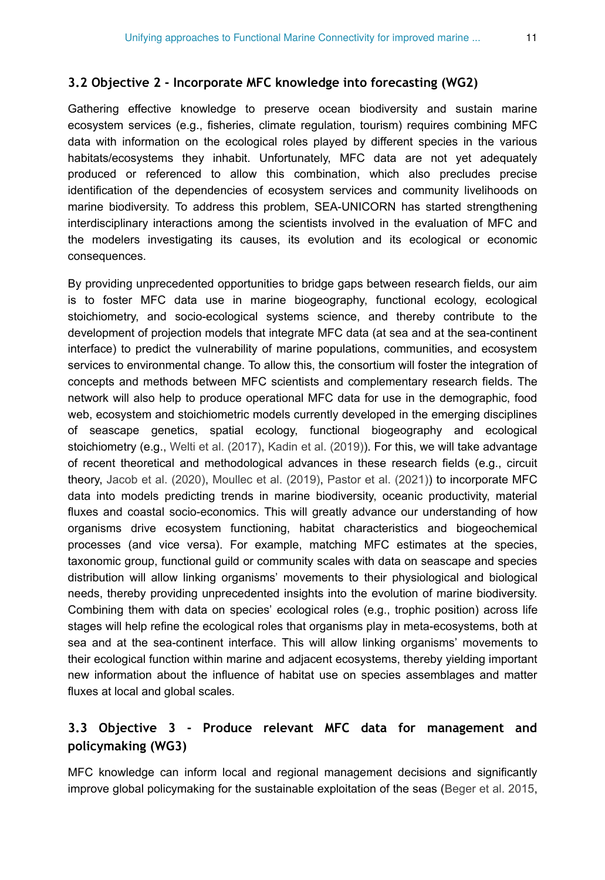#### **3.2 Objective 2 - Incorporate MFC knowledge into forecasting (WG2)**

Gathering effective knowledge to preserve ocean biodiversity and sustain marine ecosystem services (e.g., fisheries, climate regulation, tourism) requires combining MFC data with information on the ecological roles played by different species in the various habitats/ecosystems they inhabit. Unfortunately, MFC data are not yet adequately produced or referenced to allow this combination, which also precludes precise identification of the dependencies of ecosystem services and community livelihoods on marine biodiversity. To address this problem, SEA-UNICORN has started strengthening interdisciplinary interactions among the scientists involved in the evaluation of MFC and the modelers investigating its causes, its evolution and its ecological or economic consequences.

By providing unprecedented opportunities to bridge gaps between research fields, our aim is to foster MFC data use in marine biogeography, functional ecology, ecological stoichiometry, and socio-ecological systems science, and thereby contribute to the development of projection models that integrate MFC data (at sea and at the sea-continent interface) to predict the vulnerability of marine populations, communities, and ecosystem services to environmental change. To allow this, the consortium will foster the integration of concepts and methods between MFC scientists and complementary research fields. The network will also help to produce operational MFC data for use in the demographic, food web, ecosystem and stoichiometric models currently developed in the emerging disciplines of seascape genetics, spatial ecology, functional biogeography and ecological stoichiometry (e.g., [Welti et al. \(2017\),](#page-20-1) [Kadin et al. \(2019\)\)](#page-17-11). For this, we will take advantage of recent theoretical and methodological advances in these research fields (e.g., circuit theory, [Jacob et al. \(2020\),](#page-17-10) [Moullec et al. \(2019\)](#page-18-11), [Pastor et al. \(2021\)](#page-18-12)) to incorporate MFC data into models predicting trends in marine biodiversity, oceanic productivity, material fluxes and coastal socio-economics. This will greatly advance our understanding of how organisms drive ecosystem functioning, habitat characteristics and biogeochemical processes (and vice versa). For example, matching MFC estimates at the species, taxonomic group, functional guild or community scales with data on seascape and species distribution will allow linking organisms' movements to their physiological and biological needs, thereby providing unprecedented insights into the evolution of marine biodiversity. Combining them with data on species' ecological roles (e.g., trophic position) across life stages will help refine the ecological roles that organisms play in meta-ecosystems, both at sea and at the sea-continent interface. This will allow linking organisms' movements to their ecological function within marine and adjacent ecosystems, thereby yielding important new information about the influence of habitat use on species assemblages and matter fluxes at local and global scales.

### **3.3 Objective 3 - Produce relevant MFC data for management and policymaking (WG3)**

MFC knowledge can inform local and regional management decisions and significantly improve global policymaking for the sustainable exploitation of the seas ([Beger et al. 2015,](#page-15-8)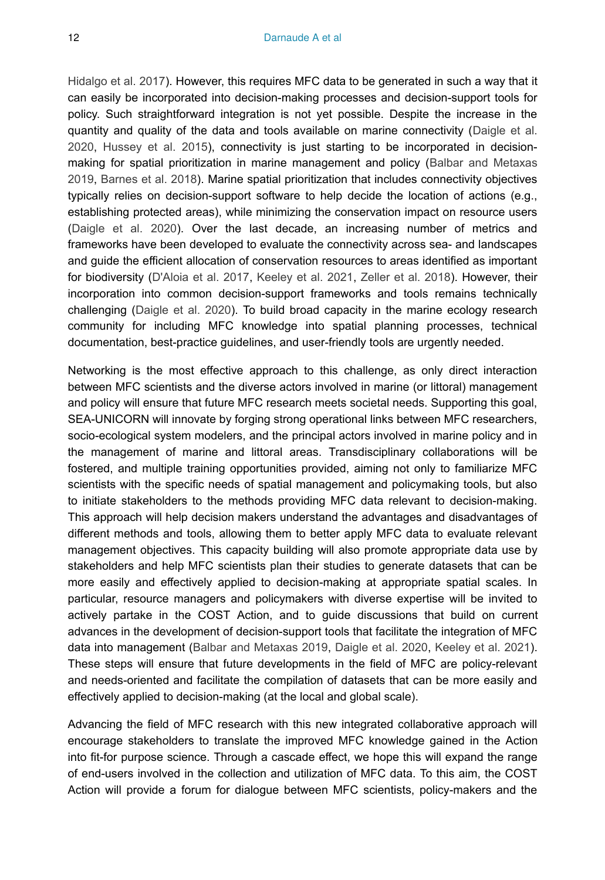[Hidalgo et al. 2017\)](#page-17-12). However, this requires MFC data to be generated in such a way that it can easily be incorporated into decision-making processes and decision-support tools for policy. Such straightforward integration is not yet possible. Despite the increase in the quantity and quality of the data and tools available on marine connectivity ([Daigle et al.](#page-15-9) [2020](#page-15-9), [Hussey et al. 2015\)](#page-17-5), connectivity is just starting to be incorporated in decisionmaking for spatial prioritization in marine management and policy ([Balbar and Metaxas](#page-14-1) [2019](#page-14-1), [Barnes et al. 2018](#page-14-2)). Marine spatial prioritization that includes connectivity objectives typically relies on decision-support software to help decide the location of actions (e.g., establishing protected areas), while minimizing the conservation impact on resource users [\(Daigle et al. 2020\)](#page-15-9). Over the last decade, an increasing number of metrics and frameworks have been developed to evaluate the connectivity across sea- and landscapes and guide the efficient allocation of conservation resources to areas identified as important for biodiversity ([D'Aloia et al. 2017,](#page-16-10) [Keeley et al. 2021,](#page-17-8) [Zeller et al. 2018](#page-20-3)). However, their incorporation into common decision-support frameworks and tools remains technically challenging ([Daigle et al. 2020\)](#page-15-9). To build broad capacity in the marine ecology research community for including MFC knowledge into spatial planning processes, technical documentation, best-practice guidelines, and user-friendly tools are urgently needed.

Networking is the most effective approach to this challenge, as only direct interaction between MFC scientists and the diverse actors involved in marine (or littoral) management and policy will ensure that future MFC research meets societal needs. Supporting this goal, SEA-UNICORN will innovate by forging strong operational links between MFC researchers, socio-ecological system modelers, and the principal actors involved in marine policy and in the management of marine and littoral areas. Transdisciplinary collaborations will be fostered, and multiple training opportunities provided, aiming not only to familiarize MFC scientists with the specific needs of spatial management and policymaking tools, but also to initiate stakeholders to the methods providing MFC data relevant to decision-making. This approach will help decision makers understand the advantages and disadvantages of different methods and tools, allowing them to better apply MFC data to evaluate relevant management objectives. This capacity building will also promote appropriate data use by stakeholders and help MFC scientists plan their studies to generate datasets that can be more easily and effectively applied to decision-making at appropriate spatial scales. In particular, resource managers and policymakers with diverse expertise will be invited to actively partake in the COST Action, and to guide discussions that build on current advances in the development of decision-support tools that facilitate the integration of MFC data into management [\(Balbar and Metaxas 2019](#page-14-1), [Daigle et al. 2020,](#page-15-9) [Keeley et al. 2021\)](#page-17-8). These steps will ensure that future developments in the field of MFC are policy-relevant and needs-oriented and facilitate the compilation of datasets that can be more easily and effectively applied to decision-making (at the local and global scale).

Advancing the field of MFC research with this new integrated collaborative approach will encourage stakeholders to translate the improved MFC knowledge gained in the Action into fit-for purpose science. Through a cascade effect, we hope this will expand the range of end-users involved in the collection and utilization of MFC data. To this aim, the COST Action will provide a forum for dialogue between MFC scientists, policy-makers and the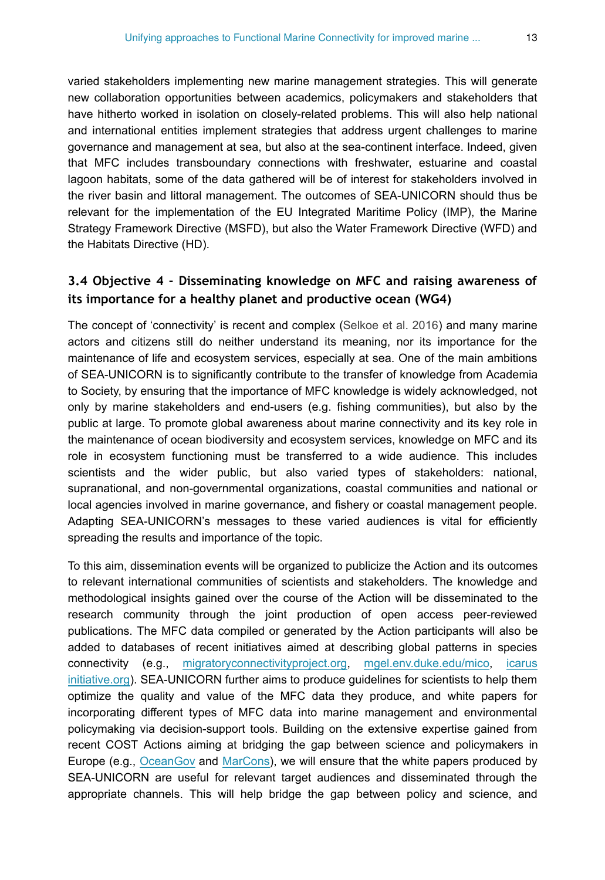varied stakeholders implementing new marine management strategies. This will generate new collaboration opportunities between academics, policymakers and stakeholders that have hitherto worked in isolation on closely-related problems. This will also help national and international entities implement strategies that address urgent challenges to marine governance and management at sea, but also at the sea-continent interface. Indeed, given that MFC includes transboundary connections with freshwater, estuarine and coastal lagoon habitats, some of the data gathered will be of interest for stakeholders involved in the river basin and littoral management. The outcomes of SEA-UNICORN should thus be relevant for the implementation of the EU Integrated Maritime Policy (IMP), the Marine Strategy Framework Directive (MSFD), but also the Water Framework Directive (WFD) and the Habitats Directive (HD).

#### **3.4 Objective 4 - Disseminating knowledge on MFC and raising awareness of its importance for a healthy planet and productive ocean (WG4)**

The concept of 'connectivity' is recent and complex [\(Selkoe et al. 2016\)](#page-19-3) and many marine actors and citizens still do neither understand its meaning, nor its importance for the maintenance of life and ecosystem services, especially at sea. One of the main ambitions of SEA-UNICORN is to significantly contribute to the transfer of knowledge from Academia to Society, by ensuring that the importance of MFC knowledge is widely acknowledged, not only by marine stakeholders and end-users (e.g. fishing communities), but also by the public at large. To promote global awareness about marine connectivity and its key role in the maintenance of ocean biodiversity and ecosystem services, knowledge on MFC and its role in ecosystem functioning must be transferred to a wide audience. This includes scientists and the wider public, but also varied types of stakeholders: national, supranational, and non-governmental organizations, coastal communities and national or local agencies involved in marine governance, and fishery or coastal management people. Adapting SEA-UNICORN's messages to these varied audiences is vital for efficiently spreading the results and importance of the topic.

To this aim, dissemination events will be organized to publicize the Action and its outcomes to relevant international communities of scientists and stakeholders. The knowledge and methodological insights gained over the course of the Action will be disseminated to the research community through the joint production of open access peer-reviewed publications. The MFC data compiled or generated by the Action participants will also be added to databases of recent initiatives aimed at describing global patterns in species connectivity (e.g., [migratoryconnectivityproject.org](http://migratoryconnectivityproject.org), [mgel.env.duke.edu/mico](http://mgel.env.duke.edu/mico), [icarus](http://icarusinitiative.org) [initiative.org](http://icarusinitiative.org)). SEA-UNICORN further aims to produce guidelines for scientists to help them optimize the quality and value of the MFC data they produce, and white papers for incorporating different types of MFC data into marine management and environmental policymaking via decision-support tools. Building on the extensive expertise gained from recent COST Actions aiming at bridging the gap between science and policymakers in Europe (e.g., [OceanGov](https://www.oceangov.eu/) and [MarCons](https://www.marcons-cost.eu/)), we will ensure that the white papers produced by SEA-UNICORN are useful for relevant target audiences and disseminated through the appropriate channels. This will help bridge the gap between policy and science, and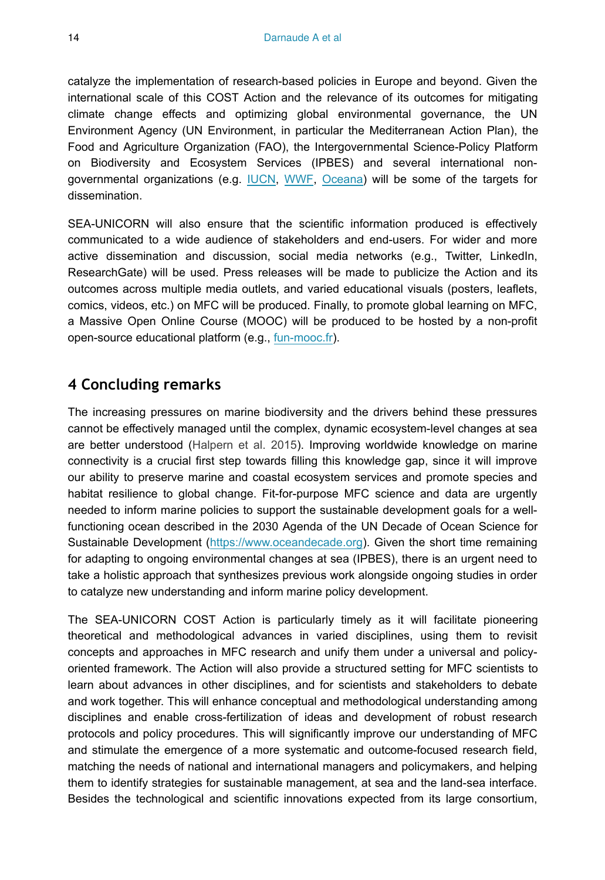catalyze the implementation of research-based policies in Europe and beyond. Given the international scale of this COST Action and the relevance of its outcomes for mitigating climate change effects and optimizing global environmental governance, the UN Environment Agency (UN Environment, in particular the Mediterranean Action Plan), the Food and Agriculture Organization (FAO), the Intergovernmental Science-Policy Platform on Biodiversity and Ecosystem Services (IPBES) and several international non-governmental organizations (e.g. [IUCN](https://www.iucn.org/), [WWF](https://www.worldwildlife.org/), [Oceana](https://oceana.org/)) will be some of the targets for dissemination.

SEA-UNICORN will also ensure that the scientific information produced is effectively communicated to a wide audience of stakeholders and end-users. For wider and more active dissemination and discussion, social media networks (e.g., Twitter, LinkedIn, ResearchGate) will be used. Press releases will be made to publicize the Action and its outcomes across multiple media outlets, and varied educational visuals (posters, leaflets, comics, videos, etc.) on MFC will be produced. Finally, to promote global learning on MFC, a Massive Open Online Course (MOOC) will be produced to be hosted by a non-profit open-source educational platform (e.g., [fun-mooc.fr](http://fun-mooc.fr)).

# **4 Concluding remarks**

The increasing pressures on marine biodiversity and the drivers behind these pressures cannot be effectively managed until the complex, dynamic ecosystem-level changes at sea are better understood ([Halpern et al. 2015](#page-17-1)). Improving worldwide knowledge on marine connectivity is a crucial first step towards filling this knowledge gap, since it will improve our ability to preserve marine and coastal ecosystem services and promote species and habitat resilience to global change. Fit-for-purpose MFC science and data are urgently needed to inform marine policies to support the sustainable development goals for a wellfunctioning ocean described in the 2030 Agenda of the UN Decade of Ocean Science for Sustainable Development [\(https://www.oceandecade.org](https://www.oceandecade.org)). Given the short time remaining for adapting to ongoing environmental changes at sea (IPBES), there is an urgent need to take a holistic approach that synthesizes previous work alongside ongoing studies in order to catalyze new understanding and inform marine policy development.

The SEA-UNICORN COST Action is particularly timely as it will facilitate pioneering theoretical and methodological advances in varied disciplines, using them to revisit concepts and approaches in MFC research and unify them under a universal and policyoriented framework. The Action will also provide a structured setting for MFC scientists to learn about advances in other disciplines, and for scientists and stakeholders to debate and work together. This will enhance conceptual and methodological understanding among disciplines and enable cross-fertilization of ideas and development of robust research protocols and policy procedures. This will significantly improve our understanding of MFC and stimulate the emergence of a more systematic and outcome-focused research field, matching the needs of national and international managers and policymakers, and helping them to identify strategies for sustainable management, at sea and the land-sea interface. Besides the technological and scientific innovations expected from its large consortium,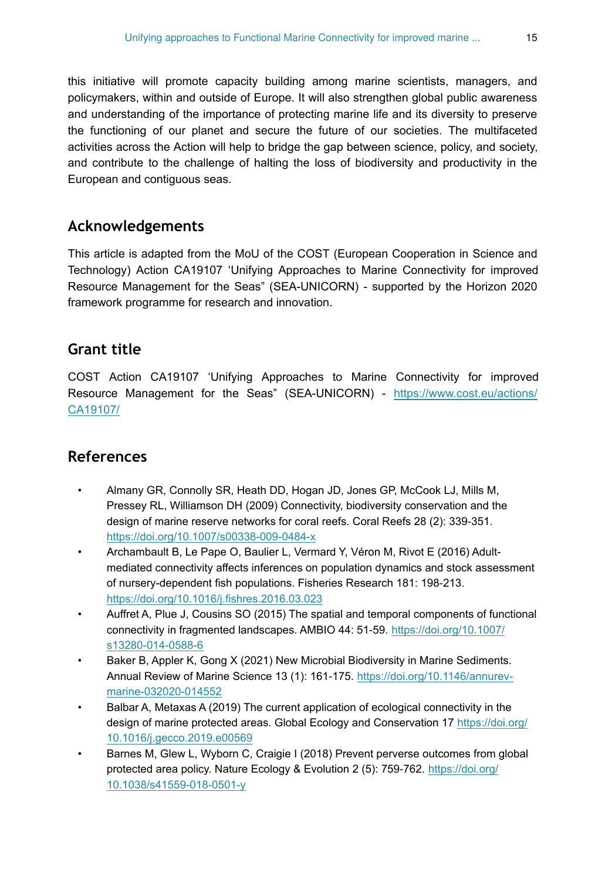this initiative will promote capacity building among marine scientists, managers, and policymakers, within and outside of Europe. It will also strengthen global public awareness and understanding of the importance of protecting marine life and its diversity to preserve the functioning of our planet and secure the future of our societies. The multifaceted activities across the Action will help to bridge the gap between science, policy, and society, and contribute to the challenge of halting the loss of biodiversity and productivity in the European and contiguous seas.

# **Acknowledgements**

This article is adapted from the MoU of the COST (European Cooperation in Science and Technology) Action CA19107 'Unifying Approaches to Marine Connectivity for improved Resource Management for the Seas" (SEA-UNICORN) - supported by the Horizon 2020 framework programme for research and innovation.

# **Grant title**

COST Action CA19107 'Unifying Approaches to Marine Connectivity for improved Resource Management for the Seas" (SEA-UNICORN) - [https://www.cost.eu/actions/](https://www.cost.eu/actions/CA19107/) [CA19107/](https://www.cost.eu/actions/CA19107/)

# **References**

- <span id="page-14-3"></span>• Almany GR, Connolly SR, Heath DD, Hogan JD, Jones GP, McCook LJ, Mills M, Pressey RL, Williamson DH (2009) Connectivity, biodiversity conservation and the design of marine reserve networks for coral reefs. Coral Reefs 28 (2): 339‑351. <https://doi.org/10.1007/s00338-009-0484-x>
- <span id="page-14-4"></span>• Archambault B, Le Pape O, Baulier L, Vermard Y, Véron M, Rivot E (2016) Adultmediated connectivity affects inferences on population dynamics and stock assessment of nursery-dependent fish populations. Fisheries Research 181: 198‑213. <https://doi.org/10.1016/j.fishres.2016.03.023>
- <span id="page-14-0"></span>• Auffret A, Plue J, Cousins SO (2015) The spatial and temporal components of functional connectivity in fragmented landscapes. AMBIO 44: 51‑59. [https://doi.org/10.1007/](https://doi.org/10.1007/s13280-014-0588-6) [s13280-014-0588-6](https://doi.org/10.1007/s13280-014-0588-6)
- <span id="page-14-5"></span>• Baker B, Appler K, Gong X (2021) New Microbial Biodiversity in Marine Sediments. Annual Review of Marine Science 13 (1): 161‑175. [https://doi.org/10.1146/annurev](https://doi.org/10.1146/annurev-marine-032020-014552)[marine-032020-014552](https://doi.org/10.1146/annurev-marine-032020-014552)
- <span id="page-14-1"></span>• Balbar A, Metaxas A (2019) The current application of ecological connectivity in the design of marine protected areas. Global Ecology and Conservation 17 [https://doi.org/](https://doi.org/10.1016/j.gecco.2019.e00569) [10.1016/j.gecco.2019.e00569](https://doi.org/10.1016/j.gecco.2019.e00569)
- <span id="page-14-2"></span>• Barnes M, Glew L, Wyborn C, Craigie I (2018) Prevent perverse outcomes from global protected area policy. Nature Ecology & Evolution 2 (5): 759‑762. [https://doi.org/](https://doi.org/10.1038/s41559-018-0501-y) [10.1038/s41559-018-0501-y](https://doi.org/10.1038/s41559-018-0501-y)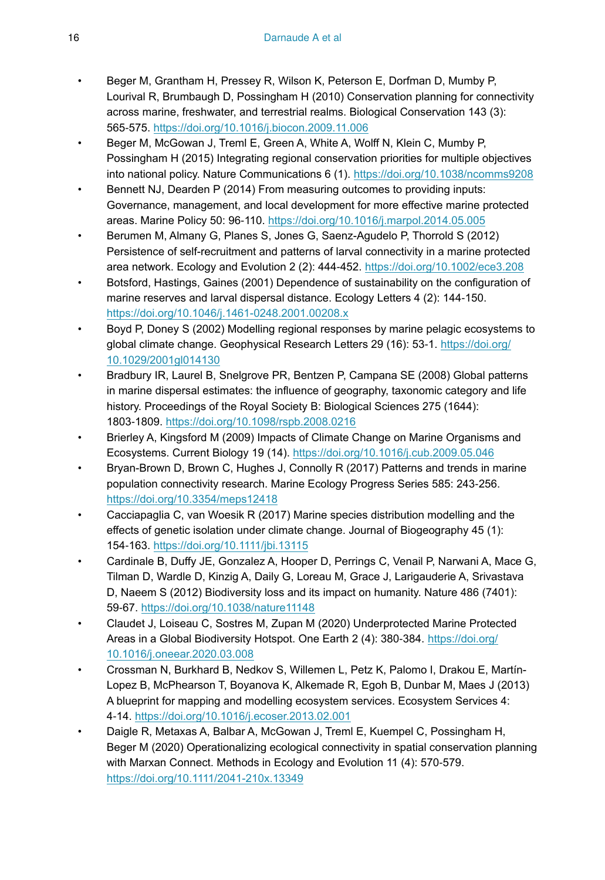- <span id="page-15-3"></span>• Beger M, Grantham H, Pressey R, Wilson K, Peterson E, Dorfman D, Mumby P, Lourival R, Brumbaugh D, Possingham H (2010) Conservation planning for connectivity across marine, freshwater, and terrestrial realms. Biological Conservation 143 (3): 565‑575. <https://doi.org/10.1016/j.biocon.2009.11.006>
- <span id="page-15-8"></span>• Beger M, McGowan J, Treml E, Green A, White A, Wolff N, Klein C, Mumby P, Possingham H (2015) Integrating regional conservation priorities for multiple objectives into national policy. Nature Communications 6 (1).<https://doi.org/10.1038/ncomms9208>
- <span id="page-15-1"></span>• Bennett NJ, Dearden P (2014) From measuring outcomes to providing inputs: Governance, management, and local development for more effective marine protected areas. Marine Policy 50: 96‑110.<https://doi.org/10.1016/j.marpol.2014.05.005>
- <span id="page-15-7"></span>• Berumen M, Almany G, Planes S, Jones G, Saenz-Agudelo P, Thorrold S (2012) Persistence of self-recruitment and patterns of larval connectivity in a marine protected area network. Ecology and Evolution 2 (2): 444‑452. <https://doi.org/10.1002/ece3.208>
- <span id="page-15-4"></span>• Botsford, Hastings, Gaines (2001) Dependence of sustainability on the configuration of marine reserves and larval dispersal distance. Ecology Letters 4 (2): 144‑150. <https://doi.org/10.1046/j.1461-0248.2001.00208.x>
- <span id="page-15-12"></span>• Boyd P, Doney S (2002) Modelling regional responses by marine pelagic ecosystems to global climate change. Geophysical Research Letters 29 (16): 53-1. [https://doi.org/](https://doi.org/10.1029/2001gl014130) [10.1029/2001gl014130](https://doi.org/10.1029/2001gl014130)
- <span id="page-15-6"></span>• Bradbury IR, Laurel B, Snelgrove PR, Bentzen P, Campana SE (2008) Global patterns in marine dispersal estimates: the influence of geography, taxonomic category and life history. Proceedings of the Royal Society B: Biological Sciences 275 (1644): 1803‑1809.<https://doi.org/10.1098/rspb.2008.0216>
- <span id="page-15-10"></span>• Brierley A, Kingsford M (2009) Impacts of Climate Change on Marine Organisms and Ecosystems. Current Biology 19 (14).<https://doi.org/10.1016/j.cub.2009.05.046>
- <span id="page-15-5"></span>• Bryan-Brown D, Brown C, Hughes J, Connolly R (2017) Patterns and trends in marine population connectivity research. Marine Ecology Progress Series 585: 243‑256. <https://doi.org/10.3354/meps12418>
- <span id="page-15-11"></span>• Cacciapaglia C, van Woesik R (2017) Marine species distribution modelling and the effects of genetic isolation under climate change. Journal of Biogeography 45 (1): 154‑163. <https://doi.org/10.1111/jbi.13115>
- <span id="page-15-2"></span>• Cardinale B, Duffy JE, Gonzalez A, Hooper D, Perrings C, Venail P, Narwani A, Mace G, Tilman D, Wardle D, Kinzig A, Daily G, Loreau M, Grace J, Larigauderie A, Srivastava D, Naeem S (2012) Biodiversity loss and its impact on humanity. Nature 486 (7401): 59‑67.<https://doi.org/10.1038/nature11148>
- <span id="page-15-0"></span>• Claudet J, Loiseau C, Sostres M, Zupan M (2020) Underprotected Marine Protected Areas in a Global Biodiversity Hotspot. One Earth 2 (4): 380‑384. [https://doi.org/](https://doi.org/10.1016/j.oneear.2020.03.008) [10.1016/j.oneear.2020.03.008](https://doi.org/10.1016/j.oneear.2020.03.008)
- <span id="page-15-13"></span>• Crossman N, Burkhard B, Nedkov S, Willemen L, Petz K, Palomo I, Drakou E, Martín-Lopez B, McPhearson T, Boyanova K, Alkemade R, Egoh B, Dunbar M, Maes J (2013) A blueprint for mapping and modelling ecosystem services. Ecosystem Services 4: 4‑14.<https://doi.org/10.1016/j.ecoser.2013.02.001>
- <span id="page-15-9"></span>• Daigle R, Metaxas A, Balbar A, McGowan J, Treml E, Kuempel C, Possingham H, Beger M (2020) Operationalizing ecological connectivity in spatial conservation planning with Marxan Connect. Methods in Ecology and Evolution 11 (4): 570-579. <https://doi.org/10.1111/2041-210x.13349>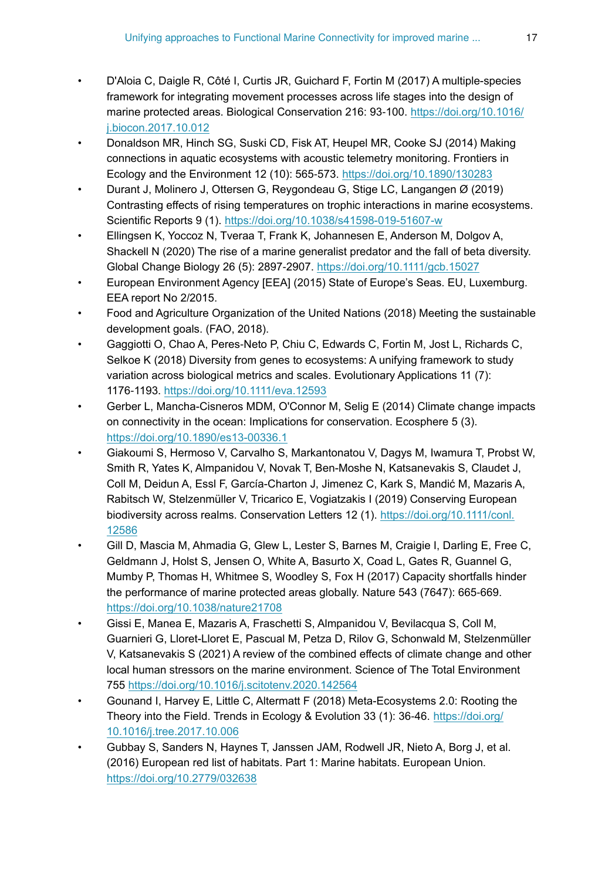- <span id="page-16-10"></span>• D'Aloia C, Daigle R, Côté I, Curtis JR, Guichard F, Fortin M (2017) A multiple-species framework for integrating movement processes across life stages into the design of marine protected areas. Biological Conservation 216: 93‑100. [https://doi.org/10.1016/](https://doi.org/10.1016/j.biocon.2017.10.012) [j.biocon.2017.10.012](https://doi.org/10.1016/j.biocon.2017.10.012)
- <span id="page-16-5"></span>• Donaldson MR, Hinch SG, Suski CD, Fisk AT, Heupel MR, Cooke SJ (2014) Making connections in aquatic ecosystems with acoustic telemetry monitoring. Frontiers in Ecology and the Environment 12 (10): 565‑573.<https://doi.org/10.1890/130283>
- <span id="page-16-6"></span>• Durant J, Molinero J, Ottersen G, Reygondeau G, Stige LC, Langangen Ø (2019) Contrasting effects of rising temperatures on trophic interactions in marine ecosystems. Scientific Reports 9 (1). <https://doi.org/10.1038/s41598-019-51607-w>
- <span id="page-16-7"></span>• Ellingsen K, Yoccoz N, Tveraa T, Frank K, Johannesen E, Anderson M, Dolgov A, Shackell N (2020) The rise of a marine generalist predator and the fall of beta diversity. Global Change Biology 26 (5): 2897‑2907. <https://doi.org/10.1111/gcb.15027>
- <span id="page-16-4"></span>• European Environment Agency [EEA] (2015) State of Europe's Seas. EU, Luxemburg. EEA report No 2/2015.
- <span id="page-16-0"></span>• Food and Agriculture Organization of the United Nations (2018) Meeting the sustainable development goals. (FAO, 2018).
- <span id="page-16-12"></span>• Gaggiotti O, Chao A, Peres‐Neto P, Chiu C, Edwards C, Fortin M, Jost L, Richards C, Selkoe K (2018) Diversity from genes to ecosystems: A unifying framework to study variation across biological metrics and scales. Evolutionary Applications 11 (7): 1176‑1193. <https://doi.org/10.1111/eva.12593>
- <span id="page-16-11"></span>• Gerber L, Mancha-Cisneros MDM, O'Connor M, Selig E (2014) Climate change impacts on connectivity in the ocean: Implications for conservation. Ecosphere 5 (3). <https://doi.org/10.1890/es13-00336.1>
- <span id="page-16-9"></span>• Giakoumi S, Hermoso V, Carvalho S, Markantonatou V, Dagys M, Iwamura T, Probst W, Smith R, Yates K, Almpanidou V, Novak T, Ben-Moshe N, Katsanevakis S, Claudet J, Coll M, Deidun A, Essl F, García-Charton J, Jimenez C, Kark S, Mandić M, Mazaris A, Rabitsch W, Stelzenmüller V, Tricarico E, Vogiatzakis I (2019) Conserving European biodiversity across realms. Conservation Letters 12 (1). [https://doi.org/10.1111/conl.](https://doi.org/10.1111/conl.12586) [12586](https://doi.org/10.1111/conl.12586)
- <span id="page-16-1"></span>• Gill D, Mascia M, Ahmadia G, Glew L, Lester S, Barnes M, Craigie I, Darling E, Free C, Geldmann J, Holst S, Jensen O, White A, Basurto X, Coad L, Gates R, Guannel G, Mumby P, Thomas H, Whitmee S, Woodley S, Fox H (2017) Capacity shortfalls hinder the performance of marine protected areas globally. Nature 543 (7647): 665‑669. <https://doi.org/10.1038/nature21708>
- <span id="page-16-2"></span>• Gissi E, Manea E, Mazaris A, Fraschetti S, Almpanidou V, Bevilacqua S, Coll M, Guarnieri G, Lloret-Lloret E, Pascual M, Petza D, Rilov G, Schonwald M, Stelzenmüller V, Katsanevakis S (2021) A review of the combined effects of climate change and other local human stressors on the marine environment. Science of The Total Environment 755<https://doi.org/10.1016/j.scitotenv.2020.142564>
- <span id="page-16-8"></span>• Gounand I, Harvey E, Little C, Altermatt F (2018) Meta-Ecosystems 2.0: Rooting the Theory into the Field. Trends in Ecology & Evolution 33 (1): 36‑46. [https://doi.org/](https://doi.org/10.1016/j.tree.2017.10.006) [10.1016/j.tree.2017.10.006](https://doi.org/10.1016/j.tree.2017.10.006)
- <span id="page-16-3"></span>• Gubbay S, Sanders N, Haynes T, Janssen JAM, Rodwell JR, Nieto A, Borg J, et al. (2016) European red list of habitats. Part 1: Marine habitats. European Union. <https://doi.org/10.2779/032638>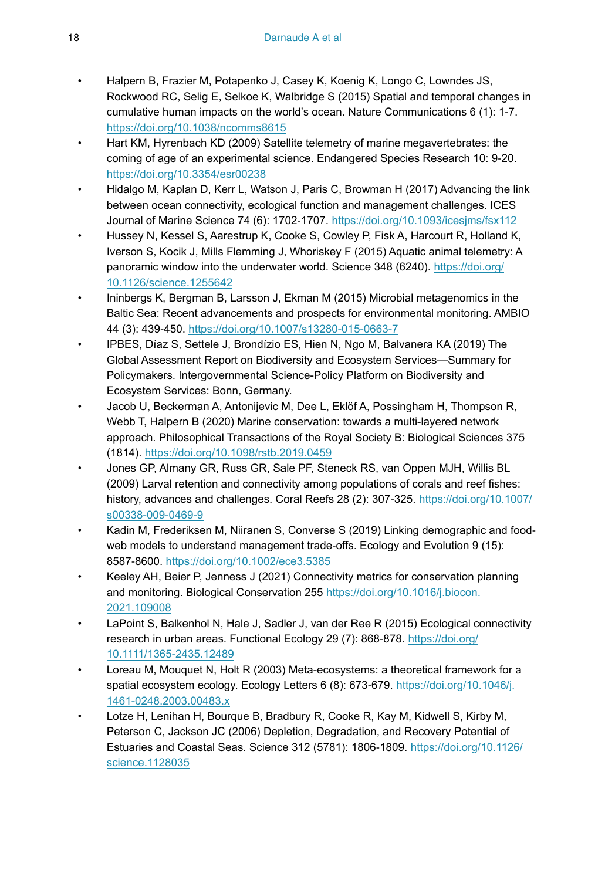- <span id="page-17-1"></span>• Halpern B, Frazier M, Potapenko J, Casey K, Koenig K, Longo C, Lowndes JS, Rockwood RC, Selig E, Selkoe K, Walbridge S (2015) Spatial and temporal changes in cumulative human impacts on the world's ocean. Nature Communications 6 (1): 1‑7. <https://doi.org/10.1038/ncomms8615>
- <span id="page-17-3"></span>• Hart KM, Hyrenbach KD (2009) Satellite telemetry of marine megavertebrates: the coming of age of an experimental science. Endangered Species Research 10: 9‑20. <https://doi.org/10.3354/esr00238>
- <span id="page-17-12"></span>• Hidalgo M, Kaplan D, Kerr L, Watson J, Paris C, Browman H (2017) Advancing the link between ocean connectivity, ecological function and management challenges. ICES Journal of Marine Science 74 (6): 1702‑1707.<https://doi.org/10.1093/icesjms/fsx112>
- <span id="page-17-5"></span>• Hussey N, Kessel S, Aarestrup K, Cooke S, Cowley P, Fisk A, Harcourt R, Holland K, Iverson S, Kocik J, Mills Flemming J, Whoriskey F (2015) Aquatic animal telemetry: A panoramic window into the underwater world. Science 348 (6240). [https://doi.org/](https://doi.org/10.1126/science.1255642) [10.1126/science.1255642](https://doi.org/10.1126/science.1255642)
- <span id="page-17-7"></span>• Ininbergs K, Bergman B, Larsson J, Ekman M (2015) Microbial metagenomics in the Baltic Sea: Recent advancements and prospects for environmental monitoring. AMBIO 44 (3): 439‑450. <https://doi.org/10.1007/s13280-015-0663-7>
- <span id="page-17-0"></span>• IPBES, Díaz S, Settele J, Brondízio ES, Hien N, Ngo M, Balvanera KA (2019) The Global Assessment Report on Biodiversity and Ecosystem Services—Summary for Policymakers. Intergovernmental Science-Policy Platform on Biodiversity and Ecosystem Services: Bonn, Germany.
- <span id="page-17-10"></span>• Jacob U, Beckerman A, Antonijevic M, Dee L, Eklöf A, Possingham H, Thompson R, Webb T, Halpern B (2020) Marine conservation: towards a multi-layered network approach. Philosophical Transactions of the Royal Society B: Biological Sciences 375 (1814). <https://doi.org/10.1098/rstb.2019.0459>
- <span id="page-17-4"></span>• Jones GP, Almany GR, Russ GR, Sale PF, Steneck RS, van Oppen MJH, Willis BL (2009) Larval retention and connectivity among populations of corals and reef fishes: history, advances and challenges. Coral Reefs 28 (2): 307‑325. [https://doi.org/10.1007/](https://doi.org/10.1007/s00338-009-0469-9) [s00338-009-0469-9](https://doi.org/10.1007/s00338-009-0469-9)
- <span id="page-17-11"></span>• Kadin M, Frederiksen M, Niiranen S, Converse S (2019) Linking demographic and food‐ web models to understand management trade-offs. Ecology and Evolution 9 (15): 8587‑8600.<https://doi.org/10.1002/ece3.5385>
- <span id="page-17-8"></span>• Keeley AH, Beier P, Jenness J (2021) Connectivity metrics for conservation planning and monitoring. Biological Conservation 255 [https://doi.org/10.1016/j.biocon.](https://doi.org/10.1016/j.biocon.2021.109008) [2021.109008](https://doi.org/10.1016/j.biocon.2021.109008)
- <span id="page-17-2"></span>• LaPoint S, Balkenhol N, Hale J, Sadler J, van der Ree R (2015) Ecological connectivity research in urban areas. Functional Ecology 29 (7): 868‑878. [https://doi.org/](https://doi.org/10.1111/1365-2435.12489) [10.1111/1365-2435.12489](https://doi.org/10.1111/1365-2435.12489)
- <span id="page-17-6"></span>Loreau M, Mouquet N, Holt R (2003) Meta-ecosystems: a theoretical framework for a spatial ecosystem ecology. Ecology Letters 6 (8): 673-679. [https://doi.org/10.1046/j.](https://doi.org/10.1046/j.1461-0248.2003.00483.x) [1461-0248.2003.00483.x](https://doi.org/10.1046/j.1461-0248.2003.00483.x)
- <span id="page-17-9"></span>• Lotze H, Lenihan H, Bourque B, Bradbury R, Cooke R, Kay M, Kidwell S, Kirby M, Peterson C, Jackson JC (2006) Depletion, Degradation, and Recovery Potential of Estuaries and Coastal Seas. Science 312 (5781): 1806‑1809. [https://doi.org/10.1126/](https://doi.org/10.1126/science.1128035) [science.1128035](https://doi.org/10.1126/science.1128035)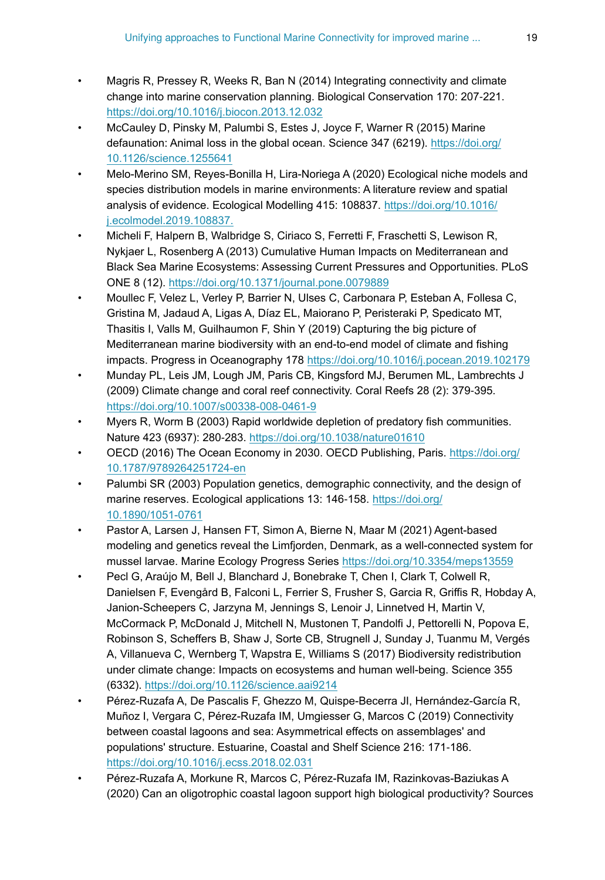- <span id="page-18-4"></span>• Magris R, Pressey R, Weeks R, Ban N (2014) Integrating connectivity and climate change into marine conservation planning. Biological Conservation 170: 207‑221. <https://doi.org/10.1016/j.biocon.2013.12.032>
- <span id="page-18-9"></span>• McCauley D, Pinsky M, Palumbi S, Estes J, Joyce F, Warner R (2015) Marine defaunation: Animal loss in the global ocean. Science 347 (6219). [https://doi.org/](https://doi.org/10.1126/science.1255641) [10.1126/science.1255641](https://doi.org/10.1126/science.1255641)
- <span id="page-18-5"></span>• Melo-Merino SM, Reyes-Bonilla H, Lira-Noriega A (2020) Ecological niche models and species distribution models in marine environments: A literature review and spatial analysis of evidence. Ecological Modelling 415: 108837. [https://doi.org/10.1016/](https://doi.org/10.1016/j.ecolmodel.2019.108837.) [j.ecolmodel.2019.108837.](https://doi.org/10.1016/j.ecolmodel.2019.108837.)
- <span id="page-18-1"></span>• Micheli F, Halpern B, Walbridge S, Ciriaco S, Ferretti F, Fraschetti S, Lewison R, Nykjaer L, Rosenberg A (2013) Cumulative Human Impacts on Mediterranean and Black Sea Marine Ecosystems: Assessing Current Pressures and Opportunities. PLoS ONE 8 (12).<https://doi.org/10.1371/journal.pone.0079889>
- <span id="page-18-11"></span>• Moullec F, Velez L, Verley P, Barrier N, Ulses C, Carbonara P, Esteban A, Follesa C, Gristina M, Jadaud A, Ligas A, Díaz EL, Maiorano P, Peristeraki P, Spedicato MT, Thasitis I, Valls M, Guilhaumon F, Shin Y (2019) Capturing the big picture of Mediterranean marine biodiversity with an end-to-end model of climate and fishing impacts. Progress in Oceanography 178<https://doi.org/10.1016/j.pocean.2019.102179>
- <span id="page-18-10"></span>• Munday PL, Leis JM, Lough JM, Paris CB, Kingsford MJ, Berumen ML, Lambrechts J (2009) Climate change and coral reef connectivity. Coral Reefs 28 (2): 379‑395. <https://doi.org/10.1007/s00338-008-0461-9>
- <span id="page-18-2"></span>• Myers R, Worm B (2003) Rapid worldwide depletion of predatory fish communities. Nature 423 (6937): 280‑283. <https://doi.org/10.1038/nature01610>
- <span id="page-18-0"></span>• OECD (2016) The Ocean Economy in 2030. OECD Publishing, Paris. [https://doi.org/](https://doi.org/10.1787/9789264251724-en) [10.1787/9789264251724-en](https://doi.org/10.1787/9789264251724-en)
- <span id="page-18-3"></span>Palumbi SR (2003) Population genetics, demographic connectivity, and the design of marine reserves. Ecological applications 13: 146-158. [https://doi.org/](https://doi.org/10.1890/1051-0761) [10.1890/1051-0761](https://doi.org/10.1890/1051-0761)
- <span id="page-18-12"></span>• Pastor A, Larsen J, Hansen FT, Simon A, Bierne N, Maar M (2021) Agent-based modeling and genetics reveal the Limfjorden, Denmark, as a well-connected system for mussel larvae. Marine Ecology Progress Series<https://doi.org/10.3354/meps13559>
- <span id="page-18-7"></span>Pecl G, Araújo M, Bell J, Blanchard J, Bonebrake T, Chen I, Clark T, Colwell R, Danielsen F, Evengård B, Falconi L, Ferrier S, Frusher S, Garcia R, Griffis R, Hobday A, Janion-Scheepers C, Jarzyna M, Jennings S, Lenoir J, Linnetved H, Martin V, McCormack P, McDonald J, Mitchell N, Mustonen T, Pandolfi J, Pettorelli N, Popova E, Robinson S, Scheffers B, Shaw J, Sorte CB, Strugnell J, Sunday J, Tuanmu M, Vergés A, Villanueva C, Wernberg T, Wapstra E, Williams S (2017) Biodiversity redistribution under climate change: Impacts on ecosystems and human well-being. Science 355 (6332). <https://doi.org/10.1126/science.aai9214>
- <span id="page-18-6"></span>• Pérez-Ruzafa A, De Pascalis F, Ghezzo M, Quispe-Becerra JI, Hernández-García R, Muñoz I, Vergara C, Pérez-Ruzafa IM, Umgiesser G, Marcos C (2019) Connectivity between coastal lagoons and sea: Asymmetrical effects on assemblages' and populations' structure. Estuarine, Coastal and Shelf Science 216: 171‑186. <https://doi.org/10.1016/j.ecss.2018.02.031>
- <span id="page-18-8"></span>• Pérez-Ruzafa A, Morkune R, Marcos C, Pérez-Ruzafa IM, Razinkovas-Baziukas A (2020) Can an oligotrophic coastal lagoon support high biological productivity? Sources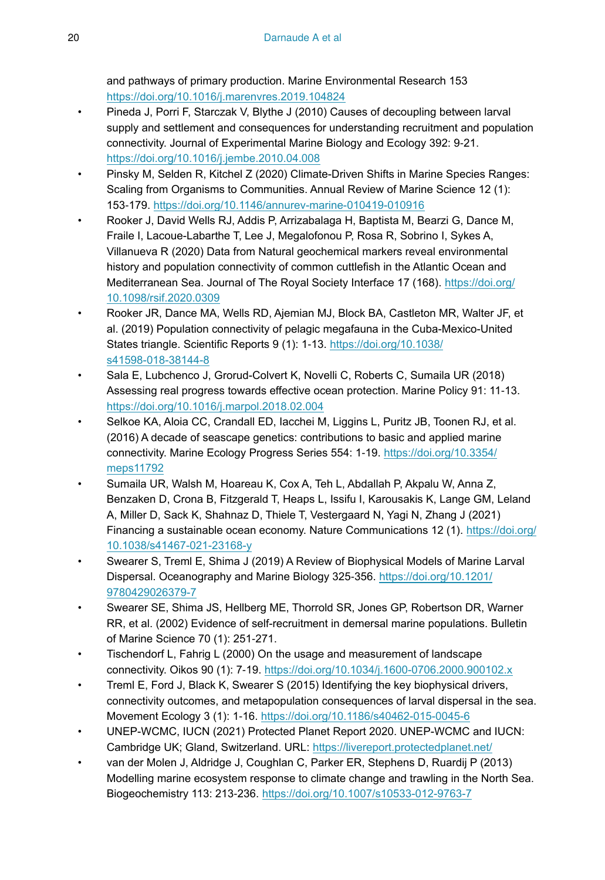and pathways of primary production. Marine Environmental Research 153 <https://doi.org/10.1016/j.marenvres.2019.104824>

- <span id="page-19-5"></span>• Pineda J, Porri F, Starczak V, Blythe J (2010) Causes of decoupling between larval supply and settlement and consequences for understanding recruitment and population connectivity. Journal of Experimental Marine Biology and Ecology 392: 9‑21. <https://doi.org/10.1016/j.jembe.2010.04.008>
- <span id="page-19-11"></span>• Pinsky M, Selden R, Kitchel Z (2020) Climate-Driven Shifts in Marine Species Ranges: Scaling from Organisms to Communities. Annual Review of Marine Science 12 (1): 153‑179. <https://doi.org/10.1146/annurev-marine-010419-010916>
- <span id="page-19-7"></span>• Rooker J, David Wells RJ, Addis P, Arrizabalaga H, Baptista M, Bearzi G, Dance M, Fraile I, Lacoue-Labarthe T, Lee J, Megalofonou P, Rosa R, Sobrino I, Sykes A, Villanueva R (2020) Data from Natural geochemical markers reveal environmental history and population connectivity of common cuttlefish in the Atlantic Ocean and Mediterranean Sea. Journal of The Royal Society Interface 17 (168). [https://doi.org/](https://doi.org/10.1098/rsif.2020.0309) [10.1098/rsif.2020.0309](https://doi.org/10.1098/rsif.2020.0309)
- <span id="page-19-8"></span>• Rooker JR, Dance MA, Wells RD, Ajemian MJ, Block BA, Castleton MR, Walter JF, et al. (2019) Population connectivity of pelagic megafauna in the Cuba-Mexico-United States triangle. Scientific Reports 9 (1): 1-13. [https://doi.org/10.1038/](https://doi.org/10.1038/s41598-018-38144-8) [s41598-018-38144-8](https://doi.org/10.1038/s41598-018-38144-8)
- <span id="page-19-2"></span>• Sala E, Lubchenco J, Grorud-Colvert K, Novelli C, Roberts C, Sumaila UR (2018) Assessing real progress towards effective ocean protection. Marine Policy 91: 11‑13. <https://doi.org/10.1016/j.marpol.2018.02.004>
- <span id="page-19-3"></span>• Selkoe KA, Aloia CC, Crandall ED, Iacchei M, Liggins L, Puritz JB, Toonen RJ, et al. (2016) A decade of seascape genetics: contributions to basic and applied marine connectivity. Marine Ecology Progress Series 554: 1-19. [https://doi.org/10.3354/](https://doi.org/10.3354/meps11792) [meps11792](https://doi.org/10.3354/meps11792)
- <span id="page-19-0"></span>• Sumaila UR, Walsh M, Hoareau K, Cox A, Teh L, Abdallah P, Akpalu W, Anna Z, Benzaken D, Crona B, Fitzgerald T, Heaps L, Issifu I, Karousakis K, Lange GM, Leland A, Miller D, Sack K, Shahnaz D, Thiele T, Vestergaard N, Yagi N, Zhang J (2021) Financing a sustainable ocean economy. Nature Communications 12 (1). [https://doi.org/](https://doi.org/10.1038/s41467-021-23168-y) [10.1038/s41467-021-23168-y](https://doi.org/10.1038/s41467-021-23168-y)
- <span id="page-19-6"></span>• Swearer S, Treml E, Shima J (2019) A Review of Biophysical Models of Marine Larval Dispersal. Oceanography and Marine Biology 325‑356. [https://doi.org/10.1201/](https://doi.org/10.1201/9780429026379-7) [9780429026379-7](https://doi.org/10.1201/9780429026379-7)
- <span id="page-19-9"></span>• Swearer SE, Shima JS, Hellberg ME, Thorrold SR, Jones GP, Robertson DR, Warner RR, et al. (2002) Evidence of self-recruitment in demersal marine populations. Bulletin of Marine Science 70 (1): 251‑271.
- <span id="page-19-4"></span>• Tischendorf L, Fahrig L (2000) On the usage and measurement of landscape connectivity. Oikos 90 (1): 7‑19.<https://doi.org/10.1034/j.1600-0706.2000.900102.x>
- <span id="page-19-10"></span>• Treml E, Ford J, Black K, Swearer S (2015) Identifying the key biophysical drivers, connectivity outcomes, and metapopulation consequences of larval dispersal in the sea. Movement Ecology 3 (1): 1‑16. <https://doi.org/10.1186/s40462-015-0045-6>
- <span id="page-19-1"></span>• UNEP-WCMC, IUCN (2021) Protected Planet Report 2020. UNEP-WCMC and IUCN: Cambridge UK; Gland, Switzerland. URL: <https://livereport.protectedplanet.net/>
- <span id="page-19-12"></span>• van der Molen J, Aldridge J, Coughlan C, Parker ER, Stephens D, Ruardij P (2013) Modelling marine ecosystem response to climate change and trawling in the North Sea. Biogeochemistry 113: 213‑236. <https://doi.org/10.1007/s10533-012-9763-7>